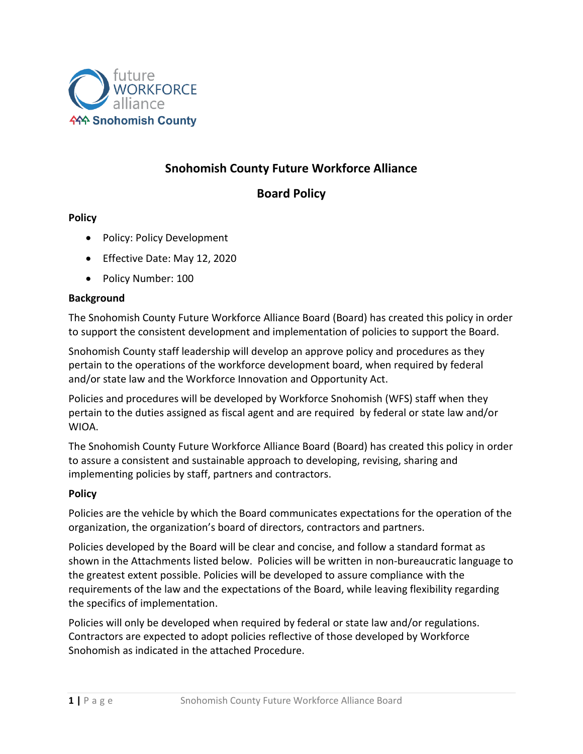

# **Snohomish County Future Workforce Alliance**

## **Board Policy**

#### **Policy**

- Policy: Policy Development
- Effective Date: May 12, 2020
- Policy Number: 100

#### **Background**

The Snohomish County Future Workforce Alliance Board (Board) has created this policy in order to support the consistent development and implementation of policies to support the Board.

Snohomish County staff leadership will develop an approve policy and procedures as they pertain to the operations of the workforce development board, when required by federal and/or state law and the Workforce Innovation and Opportunity Act.

Policies and procedures will be developed by Workforce Snohomish (WFS) staff when they pertain to the duties assigned as fiscal agent and are required by federal or state law and/or WIOA.

The Snohomish County Future Workforce Alliance Board (Board) has created this policy in order to assure a consistent and sustainable approach to developing, revising, sharing and implementing policies by staff, partners and contractors.

#### **Policy**

Policies are the vehicle by which the Board communicates expectations for the operation of the organization, the organization's board of directors, contractors and partners.

Policies developed by the Board will be clear and concise, and follow a standard format as shown in the Attachments listed below. Policies will be written in non-bureaucratic language to the greatest extent possible. Policies will be developed to assure compliance with the requirements of the law and the expectations of the Board, while leaving flexibility regarding the specifics of implementation.

Policies will only be developed when required by federal or state law and/or regulations. Contractors are expected to adopt policies reflective of those developed by Workforce Snohomish as indicated in the attached Procedure.